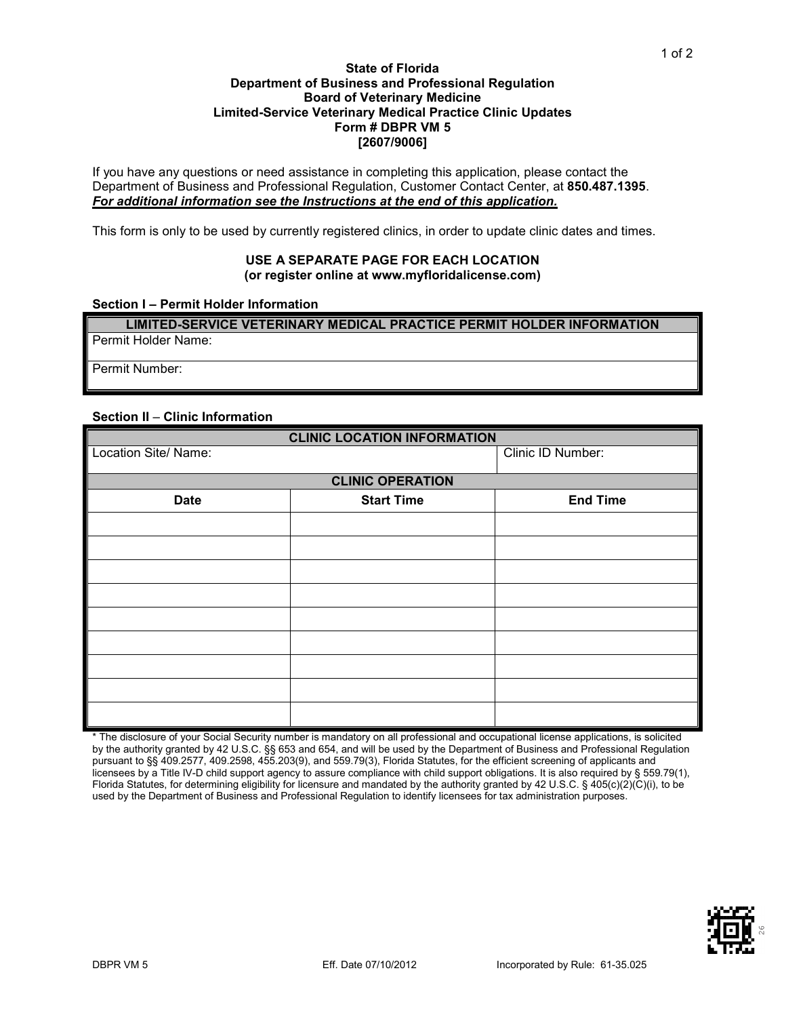### **State of Florida Department of Business and Professional Regulation Board of Veterinary Medicine Limited-Service Veterinary Medical Practice Clinic Updates Form # DBPR VM 5 [2607/9006]**

If you have any questions or need assistance in completing this application, please contact the Department of Business and Professional Regulation, Customer Contact Center, at **850.487.1395**. *For additional information see the Instructions at the end of this application.*

This form is only to be used by currently registered clinics, in order to update clinic dates and times.

### **USE A SEPARATE PAGE FOR EACH LOCATION (or register online at www.myfloridalicense.com)**

#### **Section I – Permit Holder Information**

**LIMITED-SERVICE VETERINARY MEDICAL PRACTICE PERMIT HOLDER INFORMATION** Permit Holder Name:

Permit Number:

### **Section II** – **Clinic Information**

| <b>CLINIC LOCATION INFORMATION</b> |                   |                   |
|------------------------------------|-------------------|-------------------|
| Location Site/ Name:               |                   | Clinic ID Number: |
| <b>CLINIC OPERATION</b>            |                   |                   |
| <b>Date</b>                        | <b>Start Time</b> | <b>End Time</b>   |
|                                    |                   |                   |
|                                    |                   |                   |
|                                    |                   |                   |
|                                    |                   |                   |
|                                    |                   |                   |
|                                    |                   |                   |
|                                    |                   |                   |
|                                    |                   |                   |
|                                    |                   |                   |

\* The disclosure of your Social Security number is mandatory on all professional and occupational license applications, is solicited by the authority granted by 42 U.S.C. §§ 653 and 654, and will be used by the Department of Business and Professional Regulation pursuant to §§ 409.2577, 409.2598, 455.203(9), and 559.79(3), Florida Statutes, for the efficient screening of applicants and licensees by a Title IV-D child support agency to assure compliance with child support obligations. It is also required by § 559.79(1), Florida Statutes, for determining eligibility for licensure and mandated by the authority granted by 42 U.S.C. § 405(c)(2)(C)(i), to be used by the Department of Business and Professional Regulation to identify licensees for tax administration purposes.



1 of 2